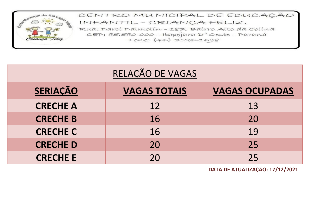

| RELAÇÃO DE VAGAS |                     |                       |  |  |  |  |  |  |  |  |
|------------------|---------------------|-----------------------|--|--|--|--|--|--|--|--|
| <b>SERIAÇÃO</b>  | <b>VAGAS TOTAIS</b> | <b>VAGAS OCUPADAS</b> |  |  |  |  |  |  |  |  |
| <b>CRECHE A</b>  | 12                  | 13                    |  |  |  |  |  |  |  |  |
| <b>CRECHE B</b>  | 16                  | 20                    |  |  |  |  |  |  |  |  |
| <b>CRECHE C</b>  | 16                  | 19                    |  |  |  |  |  |  |  |  |
| <b>CRECHED</b>   | 20                  | 25                    |  |  |  |  |  |  |  |  |
| <b>CRECHE E</b>  | 2Ο                  | 25                    |  |  |  |  |  |  |  |  |

**DATA DE ATUALIZAÇÃO: 17/12/2021**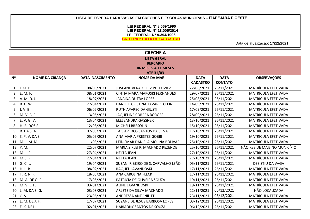## **LISTA DE ESPERA PARA VAGAS EM CRECHES E ESCOLAS MUNICIPAIS – ITAPEJARA D'OESTE**

### **LEI FEDERAL Nº 8.069/1990 LEI FEDERAL N° 13.005/2014 LEI FEDERAL N° 9.394/1996 CRITÉRIO: DATA DE CADASTRO**

Data de atualização: **17/12/2021**

| <b>CRECHE A</b> |                        |                        |                                      |                 |                |                              |  |  |  |  |
|-----------------|------------------------|------------------------|--------------------------------------|-----------------|----------------|------------------------------|--|--|--|--|
|                 |                        |                        | <b>LISTA GERAL</b>                   |                 |                |                              |  |  |  |  |
|                 |                        |                        | <b>BERÇÁRIO</b>                      |                 |                |                              |  |  |  |  |
|                 |                        |                        | 06 MESES A 11 MESES                  |                 |                |                              |  |  |  |  |
| Nº              | <b>NOME DA CRIANÇA</b> | <b>DATA NASCIMENTO</b> | ATÉ 31/03<br><b>NOME DA MÃE</b>      | <b>DATA</b>     | <b>DATA</b>    | <b>OBSERVAÇÕES</b>           |  |  |  |  |
|                 |                        |                        |                                      | <b>CADASTRO</b> | <b>CONTATO</b> |                              |  |  |  |  |
| $\mathbf{1}$    | M. P.                  | 08/05/2021             | JOSEANE VERA KOLTZ PETKOVICZ         | 22/06/2021      | 26/11/2021     | MATRÍCULA EFETIVADA          |  |  |  |  |
| 2               | E. M. F.               | 08/01/2021             | <b>CINTIA MARA MAKOSKI FERNANDES</b> | 29/07/2021      | 26/11/2021     | <b>MATRÍCULA EFETIVADA</b>   |  |  |  |  |
| 3               | A. M. D. J.            | 18/07/2021             | JANAINA DUTRA LOPES                  | 25/08/2021      | 26/11/2021     | MATRÍCULA EFETIVADA          |  |  |  |  |
| 4               | <b>B. C. W.</b>        | 27/04/2021             | DANIELE CRISTINA TAVARES CLEIN       | 14/09/2021      | 26/11/2021     | MATRÍCULA EFETIVADA          |  |  |  |  |
| 5               | J. V. B.               | 06/02/2021             | <b>RUTH APARECIDA GIUSTI</b>         | 17/09/2021      | 26/11/2021     | MATRÍCULA EFETIVADA          |  |  |  |  |
| 6               | M. V. B. F.            | 13/05/2021             | JAQUELINE CORREA BORGES              | 28/09/2021      | 26/11/2021     | MATRÍCULA EFETIVADA          |  |  |  |  |
| 7               | E. V. G. V.            | 13/04/2021             | <b>ELESSANDRA GASSNER</b>            | 13/10/2021      | 26/11/2021     | MATRÍCULA EFETIVADA          |  |  |  |  |
| 8               | H. B. DOS S.           | 12/08/2021             | <b>MICHELI BRESOLIN</b>              | 15/10/2021      | 26/11/2021     | MATRÍCULA EFETIVADA          |  |  |  |  |
| 9               | R. DA S. A.            | 07/03/2021             | TAIS AP. DOS SANTOS DA SILVA         | 17/10/2021      | 26/11/2021     | MATRÍCULA EFETIVADA          |  |  |  |  |
| 10              | S. P. V. DA S.         | 05/05/2021             | <b>ANA MARIA PRESTES GOBBI</b>       | 19/10/2021      | 26/11/2021     | MATRÍCULA EFETIVADA          |  |  |  |  |
| 11              | M. J. M. M.            | 11/03/2021             | LEIDISMAR DANIELA MOLINA BOLIVAR     | 25/10/2021      | 26/11/2021     | MATRÍCULA EFETIVADA          |  |  |  |  |
| 12              | Y. M.                  | 22/07/2021             | MARIA SIRLEI P. MACHADO REZENDE      | 25/10/2021      | 26/11/2021     | NÃO RESIDE MAIS NO MUNICÍPIO |  |  |  |  |
| 13              | M. J. P.               | 27/04/2021             | <b>NELTA JEAN</b>                    | 27/10/2021      | 26/11/2021     | <b>MATRÍCULA EFETIVADA</b>   |  |  |  |  |
| 14              | M. J. P.               | 27/04/2021             | <b>NELTA JEAN</b>                    | 27/10/2021      | 26/11/2021     | MATRÍCULA EFETIVADA          |  |  |  |  |
| 15              | G. C. L.               | 19/04/2021             | SUZANI RIBEIRO DE S. CARVALHO LEÃO   | 05/11/2021      | 29/11/2021     | DESISTIU DA VAGA             |  |  |  |  |
| 16              | H. L. B.               | 08/02/2021             | <b>RAQUEL LAVANDOSKI</b>             | 17/11/2021      | 26/11/2021     | MATRÍCULA EFETIVADA          |  |  |  |  |
| 17              | T. R. N. F.            | 18/05/2021             | <b>ANA CAROLINA FLECK</b>            | 17/11/2021      | 26/11/2021     | MATRÍCULA EFETIVADA          |  |  |  |  |
| 18              | M. A. DE O. F.         | 17/05/2021             | PATRÍCIA DE OLIVEIRA SOUZA           | 19/11/2021      | 26/11/2021     | MATRÍCULA EFETIVADA          |  |  |  |  |
| 19              | M. V. L. F.            | 03/01/2021             | <b>ALINE LAVANDOSKI</b>              | 19/11/2021      | 26/11/2021     | MATRÍCULA EFETIVADA          |  |  |  |  |
| 20              | . M. DA S. G.          | 03/08/2021             | <b>ARLETE DA SILVA MACHADO</b>       | 22/11/2021      | 06/12/2021     | NÃO LOCALIZADA               |  |  |  |  |
| 21              | C. S.                  | 23/06/2021             | <b>ANDRESSA ANTONIUTTI</b>           | 23/11/2021      | 06/12/2021     | MATRÍCULA EFETIVADA          |  |  |  |  |
| 22              | E. M. DE J. F.         | 17/07/2021             | <b>SUZANE DE JESUS BARBOSA LOPES</b> | 03/12/2021      | 26/11/2021     | MATRÍCULA EFETIVADA          |  |  |  |  |
| 23              | E. K. DE L.            | 02/01/2021             | HARIADNY SANTOS DE SOUZA             | 06/12/2021      | 26/11/2021     | MATRÍCULA EFETIVADA          |  |  |  |  |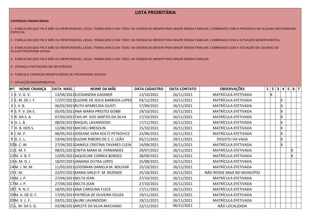#### **CRITÉRIOS PRIORITÁRIOS**

1 - FAMÍLIA EM QUE PAI E MÃE OU RESPONSÁVEL LEGAL TRABALHEM O DIA TODO, NA ORDEM DA MENOR PARA MAIOR RENDA FAMILIAR, COMBINADO COM A PRESENÇA DE ALGUMA NECESSIDADE **ESPECIAL** 

2 - FAMÍLIA EM QUE PAI E MÃE OU RESPONSÁVEL LEGAL TRABALHEM O DIA TODO, NA ORDEM DA MENOR PARA MAIOR RENDA FAMILIAR, COMBINADO COM A SITUAÇÃO MONOPARENTAL

3 - FAMÍLIA EM QUE PAI E MÃE OU RESPONSÁVEL LEGAL TRABALHEM O DIA TODO, NA ORDEM DA MENOR PARA MAIOR RENDA FAMILIAR, COMBINADO COM A SITUAÇÃO DE USUÁRIO DE ALGUM PROGRAMA SOCIAL

4 - FAMÍLIA EM QUE PAI E MÃE OU RESPONSÁVEL LEGAL TRABALHEM O DIA TODO, NA ORDEM DA MENOR PARA MAIOR RENDA FAMILIAR

5 - CRIANÇA PORTADORA DE DEFICIÊNCIA

6 - FAMÍLIA E CRIANÇAS BENEFICIÁRIAS DE PROGRAMAS SOCIAIS

| Nº I<br><b>NOME CRIANÇA</b> | DATA NASC. | <b>NOME DA MÃE</b>                        | <b>DATA CADASTRO</b> | <b>DATA CONTATO</b> | <b>OBSERVAÇÕES</b>           | 1 | $\overline{2}$ | 3  | $5\phantom{.0}$<br>4 | 67 |
|-----------------------------|------------|-------------------------------------------|----------------------|---------------------|------------------------------|---|----------------|----|----------------------|----|
| 1 E.V.G.V.                  |            | 13/04/2021 ELESSANDRA GASSNER             | 13/10/2021           | 26/11/2021          | MATRÍCULA EFETIVADA          |   |                |    |                      |    |
| 2 E. M. DE J. F.            |            | 17/07/2021 SUZANE DE JESUS BARBOSA LOPES  | 03/12/2021           | 26/11/2021          | MATRÍCULA EFETIVADA          |   |                | x  |                      |    |
| $3$ J.V.B.                  |            | 06/02/2021 RUTH APARECIDA GIUSTI          | 17/09/2021           | 26/11/2021          | MATRÍCULA EFETIVADA          |   |                | х  |                      |    |
| 4 S. P. V. DA S.            |            | 05/05/2021 ANA MARIA PRESTES GOBBI        | 19/10/2021           | 26/11/2021          | MATRÍCULA EFETIVADA          |   |                | X  |                      |    |
| 5 R. DA S. A.               |            | 07/03/2021 TAIS AP. DOS SANTOS DA SILVA   | 17/10/2021           | 26/11/2021          | MATRÍCULA EFETIVADA          |   |                | х  |                      |    |
| 6 $H. L. B.$                |            | 08/02/2021RAQUEL LAVANDOSKI               | 17/11/2021           | 26/11/2021          | MATRÍCULA EFETIVADA          |   |                | x  |                      |    |
| 7 H. B. DOS S.              |            | 12/08/2021 MICHELI BRESOLIN               | 15/10/2021           | 26/11/2021          | MATRÍCULA EFETIVADA          |   |                | X  |                      |    |
| 8 I. M. P.                  |            | 08/05/2021 JOSEANE VERA KOLTZ PETKOVICZ   | 22/06/2021           | 26/11/2021          | MATRÍCULA EFETIVADA          |   |                | Х  |                      |    |
| 9 G.C.L.                    |            | 19/04/2021 SUZANI RIBEIRO DE S. C. LEÃO   | 05/11/2021           | 29/11/2021          | DESISTIU DA VAGA             |   |                | x  |                      |    |
| 10B.C.W.                    |            | 27/04/2021 DANIELE CRISTINA TAVARES CLEIN | 14/09/2021           | 26/11/2021          | MATRÍCULA EFETIVADA          |   |                | X. |                      |    |
| 11E. M. F.                  |            | 08/01/2021 CINTIA MARA M. FERNANDES       | 29/07/2021           | 26/11/2021          | MATRÍCULA EFETIVADA          |   |                |    |                      |    |
| 12 M. V. B. F.              |            | 13/05/2021 JAQUELINE CORREA BORGES        | 28/09/2021           | 26/11/2021          | MATRÍCULA EFETIVADA          |   |                |    |                      |    |
| 13A. M. D. J.               |            | 18/07/2021 JANAINA DUTRA LOPES            | 25/08/2021           | 26/11/2021          | MATRÍCULA EFETIVADA          |   |                |    |                      |    |
| 14M. J. M. M.               |            | 11/03/2021 LEIDISMAR DANIELA M. BOLIVAR   | 25/10/2021           | 26/11/2021          | MATRÍCULA EFETIVADA          |   |                |    |                      |    |
| 15Y.M.                      |            | 22/07/2021 MARIA SIRLEI P. M. REZENDE     | 25/10/2021           | 26/11/2021          | NÃO RESIDE MAIS NO MUNICÍPIO |   |                |    |                      |    |
| 16 <sub>M. J. P.</sub>      |            | 27/04/2021 NELTA JEAN                     | 27/10/2021           | 26/11/2021          | MATRÍCULA EFETIVADA          |   |                |    |                      |    |
| 17 M. J. P.                 |            | 27/04/2021 NELTA JEAN                     | 27/10/2021           | 26/11/2021          | MATRÍCULA EFETIVADA          |   |                |    |                      |    |
| 18 <sub>T</sub> . R. N. F.  |            | 18/05/2021 ANA CAROLINA FLECK             | 17/11/2021           | 26/11/2021          | MATRÍCULA EFETIVADA          |   |                |    |                      |    |
| 19M. A. DE O. F.            |            | 17/05/2021 PATRÍCIA DE OLIVEIRA SOUZA     | 19/11/2021           | 26/11/2021          | MATRÍCULA EFETIVADA          |   |                |    |                      |    |
| 20M. V. L. F.               |            | 03/01/2021 ALINE LAVANDOSKI               | 19/11/2021           | 26/11/2021          | MATRÍCULA EFETIVADA          |   |                |    |                      |    |
| 21L. M. DA S. G.            |            | 03/08/2021 ARLETE DA SILVA MACHADO        | 22/11/2021           | 06/12/2021          | NÃO LOCALIZADA               |   |                |    |                      |    |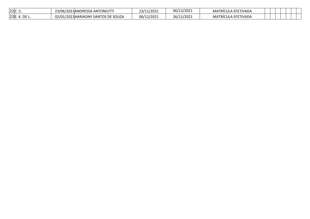| 22 C.S.       | 23/06/2021 ANDRESSA ANTONIUTTI      | 23/11/2021 | 06/12/2021 | MATRÍCULA EFETIVADA |  |  |  |
|---------------|-------------------------------------|------------|------------|---------------------|--|--|--|
| 23E. K. DE L. | 02/01/2021 HARIADNY SANTOS DE SOUZA | 06/12/2021 | 26/11/2021 | MATRÍCULA EFETIVADA |  |  |  |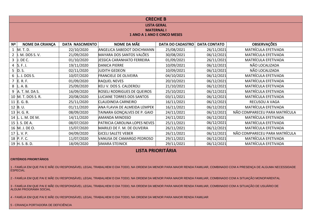| <b>CRECHE B</b>                                                   |                                                                          |                                    |                             |            |                               |  |  |  |  |  |  |  |
|-------------------------------------------------------------------|--------------------------------------------------------------------------|------------------------------------|-----------------------------|------------|-------------------------------|--|--|--|--|--|--|--|
|                                                                   |                                                                          |                                    |                             |            |                               |  |  |  |  |  |  |  |
|                                                                   |                                                                          |                                    | <b>LISTA GERAL</b>          |            |                               |  |  |  |  |  |  |  |
|                                                                   |                                                                          | <b>MATERNAL I</b>                  |                             |            |                               |  |  |  |  |  |  |  |
|                                                                   |                                                                          |                                    | 1 ANO A 1 ANO E CINCO MESES |            |                               |  |  |  |  |  |  |  |
|                                                                   | <b>DATA CONTATO</b><br><b>DATA NASCIMENTO</b><br><b>DATA DO CADASTRO</b> |                                    |                             |            |                               |  |  |  |  |  |  |  |
| NOME DA MÃE<br><b>OBSERVAÇÕES</b><br><b>NOME DA CRIANÇA</b><br>Nº |                                                                          |                                    |                             |            |                               |  |  |  |  |  |  |  |
| $1$ M.T.D.                                                        | 22/10/2020                                                               | <b>ANGELICA SABEDOT DOICHMANN</b>  | 25/08/2021                  | 26/11/2021 | MATRÍCULA EFETIVADA           |  |  |  |  |  |  |  |
| . M. DOS S. V.<br>$\overline{2}$                                  | 21/09/2020                                                               | MAYARA DOS SANTOS VALÕES           | 30/08/2021                  | 06/12/2021 | MATRÍCULA EFETIVADA           |  |  |  |  |  |  |  |
| 3<br>J. DE C.                                                     | 01/10/2020                                                               | <b>JESSICA CARANHATO FERREIRA</b>  | 01/09/2021                  | 26/11/2021 | MATRÍCULA EFETIVADA           |  |  |  |  |  |  |  |
| 4 $\,$ S.F.J.                                                     | 19/11/2020                                                               | <b>DANICA PIERRE</b>               | 10/09/2021                  | 06/12/2021 | NÃO LOCALIZADA                |  |  |  |  |  |  |  |
| $5$ D. S.                                                         | 02/11/2020                                                               | <b>JUDITH GEDEON</b>               | 10/09/2021                  | 06/12/2021 | NÃO LOCALIZADA                |  |  |  |  |  |  |  |
| $6$ L. J. DOS S.                                                  | 10/07/2020                                                               | <b>FRANCIELE DE OLIVEIRA</b>       | 04/10/2021                  | 06/12/2021 | MATRÍCULA EFETIVADA           |  |  |  |  |  |  |  |
| $7$ E.R.F.                                                        | 01/09/2020                                                               | <b>RAQUEL NEVES</b>                | 20/10/2021                  | 06/12/2021 | <b>MATRÍCULA EFETIVADA</b>    |  |  |  |  |  |  |  |
| 8<br>L. A. B.                                                     | 25/09/2020                                                               | <b>KELI V. DOS S. CALDEROLI</b>    | 21/10/2021                  | 06/12/2021 | <b>MATRÍCULA EFETIVADA</b>    |  |  |  |  |  |  |  |
| 9<br>A. T. M. DA S.                                               | 16/09/2020                                                               | <b>ROSELI RODRIGUES DE QUEIROS</b> | 25/10/2021                  | 06/12/2021 | MATRÍCULA EFETIVADA           |  |  |  |  |  |  |  |
| 10 M. T. DOS S. R.                                                | 20/08/2020                                                               | <b>LUCIANE TORRES DOS SANTOS</b>   | 03/11/2021                  | 06/12/2021 | <b>MATRÍCULA EFETIVADA</b>    |  |  |  |  |  |  |  |
| 11 E.G.B.                                                         | 25/11/2020                                                               | <b>CLAUDINEIA CARNEIRO</b>         | 16/11/2021                  | 06/12/2021 | RECUSOU A VAGA                |  |  |  |  |  |  |  |
| 12 $B. U.$                                                        | 01/11/2020                                                               | ANA FLAVIA DE ALMEIDA LEMPEK       | 16/11/2021                  | 06/12/2021 | <b>MATRÍCULA EFETIVADA</b>    |  |  |  |  |  |  |  |
| 13 H. G. R.                                                       | 08/09/2020                                                               | TAINARA GONÇALVES DE P. GAIO       | 24/11/2021                  | 06/12/2021 | NÃO COMPARECEU PARA MATRÍCULA |  |  |  |  |  |  |  |
| 14 L. L. M. DE M.                                                 | 14/11/2020                                                               | <b>AMANDA MINOSSO</b>              | 24/11/2021                  | 06/12/2021 | MATRÍCULA EFETIVADA           |  |  |  |  |  |  |  |
| 15   I.S. DE A.                                                   | 08/07/2020                                                               | PATRICIA CAROLINA LOPES NEVES      | 25/11/2021                  | 06/12/2021 | MATRÍCULA EFETIVADA           |  |  |  |  |  |  |  |
| 16 M. J. DE O.                                                    | 15/07/2020                                                               | MARILEI DE F. M. DE OLIVEIRA       | 26/11/2021                  | 06/12/2021 | MATRÍCULA EFETIVADA           |  |  |  |  |  |  |  |
| 17 $L. V. P.$                                                     | 04/09/2020                                                               | <b>GICELI SALETE VEBER</b>         | 26/11/2021                  | 06/12/2021 | NÃO COMPARECEU PARA MATRÍCULA |  |  |  |  |  |  |  |
| 18 P.F.C.                                                         | 11/07/2020                                                               | VANUSA DE CAMARGO PEDROSO          | 29/11/2021                  | 06/12/2021 | MATRÍCULA EFETIVADA           |  |  |  |  |  |  |  |
| 19 H.S.B.D.                                                       | 18/09/2020                                                               | <b>SIMARA STEINICK</b>             | 29/11/2021                  | 06/12/2021 | MATRÍCULA EFETIVADA           |  |  |  |  |  |  |  |

#### **CRITÉRIOS PRIORITÁRIOS**

1 - FAMÍLIA EM QUE PAI E MÃE OU RESPONSÁVEL LEGAL TRABALHEM O DIA TODO, NA ORDEM DA MENOR PARA MAIOR RENDA FAMILIAR, COMBINADO COM A PRESENÇA DE ALGUMA NECESSIDADE ESPECIAL

2 - FAMÍLIA EM QUE PAI E MÃE OU RESPONSÁVEL LEGAL TRABALHEM O DIA TODO, NA ORDEM DA MENOR PARA MAIOR RENDA FAMILIAR, COMBINADO COM A SITUAÇÃO MONOPARENTAL

3 - FAMÍLIA EM QUE PAI E MÃE OU RESPONSÁVEL LEGAL TRABALHEM O DIA TODO, NA ORDEM DA MENOR PARA MAIOR RENDA FAMILIAR, COMBINADO COM A SITUAÇÃO DE USUÁRIO DE ALGUM PROGRAMA SOCIAL

4 - FAMÍLIA EM QUE PAI E MÃE OU RESPONSÁVEL LEGAL TRABALHEM O DIA TODO, NA ORDEM DA MENOR PARA MAIOR RENDA FAMILIAR

5 - CRIANÇA PORTADORA DE DEFICIÊNCIA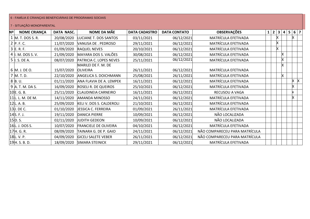## 6 - FAMÍLIA E CRIANÇAS BENEFICIÁRIAS DE PROGRAMAS SOCIAIS

| <b>NOME CRIANÇA</b><br>Nº | DATA NASC. | <b>NOME DA MÃE</b>              | <b>DATA CADASTRO</b> | <b>DATA CONTATO</b> | <b>OBSERVAÇÕES</b>            |  | 1 2 3 4 |    | 5 6 7 |
|---------------------------|------------|---------------------------------|----------------------|---------------------|-------------------------------|--|---------|----|-------|
| 1 M. T. DOS S. R.         | 20/08/2020 | LUCIANE T. DOS SANTOS           | 03/11/2021           | 06/12/2021          | MATRÍCULA EFETIVADA           |  |         |    |       |
| 2 P.F.C.                  | 11/07/2020 | VANUSA DE . PEDROSO             | 29/11/2021           | 06/12/2021          | MATRÍCULA EFETIVADA           |  |         |    |       |
| $3$ E.R.F.                | 01/09/2020 | <b>RAQUEL NEVES</b>             | 20/10/2021           | 06/12/2021          | MATRÍCULA EFETIVADA           |  |         |    |       |
| 4  . M. DOS S. V.         | 21/09/2020 | MAYARA DOS S. VALÕES            | 30/08/2021           | 06/12/2021          | MATRÍCULA EFETIVADA           |  |         |    |       |
| $5$   S. DE A.            | 08/07/2020 | PATRICIA C. LOPES NEVES         | 25/11/2021           | 06/12/2021          | MATRÍCULA EFETIVADA           |  |         |    |       |
|                           |            | MARILEI DE F. M. DE             |                      |                     |                               |  |         |    |       |
| 6 M. J. DE O.             | 15/07/2020 | <b>OLIVEIRA</b>                 | 26/11/2021           | 06/12/2021          | MATRÍCULA EFETIVADA           |  |         |    |       |
| 7 M.T.D.                  | 22/10/2020 | ANGELICA S. DOICHMANN           | 25/08/2021           | 26/11/2021          | MATRÍCULA EFETIVADA           |  |         | X. |       |
| 8 B.U.                    | 01/11/2020 | ANA FLAVIA DE A. LEMPEK         | 16/11/2021           | 06/12/2021          | MATRÍCULA EFETIVADA           |  |         |    |       |
| 9 A. T. M. DA S.          | 16/09/2020 | ROSELI R. DE QUEIROS            | 25/10/2021           | 06/12/2021          | MATRÍCULA EFETIVADA           |  |         |    |       |
| 10E.G.B.                  | 25/11/2020 | <b>CLAUDINEIA CARNEIRO</b>      | 16/11/2021           | 06/12/2021          | RECUSOU A VAGA                |  |         |    |       |
| 11L. L. M. DE M.          | 14/11/2020 | <b>AMANDA MINOSSO</b>           | 24/11/2021           | 06/12/2021          | MATRÍCULA EFETIVADA           |  |         |    |       |
| 12L.A.B.                  | 25/09/2020 | <b>KELI V. DOS S. CALDEROLI</b> | 21/10/2021           | 06/12/2021          | MATRÍCULA EFETIVADA           |  |         |    |       |
| 13J. DE C.                | 01/10/2020 | JESSICA C. FERREIRA             | 01/09/2021           | 26/11/2021          | MATRÍCULA EFETIVADA           |  |         |    |       |
| 14S. F. J.                | 19/11/2020 | <b>DANICA PIERRE</b>            | 10/09/2021           | 06/12/2021          | NÃO LOCALIZADA                |  |         |    |       |
| 15D.S.                    | 02/11/2020 | <b>JUDITH GEDEON</b>            | 10/09/2021           | 06/12/2021          | NÃO LOCALIZADA                |  |         |    |       |
| 16L. J. DOS S.            | 10/07/2020 | <b>FRANCIELE DE OLIVEIRA</b>    | 04/10/2021           | 06/12/2021          | MATRÍCULA EFETIVADA           |  |         |    |       |
| 17H.G.R.                  | 08/09/2020 | TAINARA G. DE P. GAIO           | 24/11/2021           | 06/12/2021          | NÃO COMPARECEU PARA MATRÍCULA |  |         |    |       |
| 18L. V. P.                | 04/09/2020 | <b>GICELI SALETE VEBER</b>      | 26/11/2021           | 06/12/2021          | NÃO COMPARECEU PARA MATRÍCULA |  |         |    |       |
| 19H. S. B. D.             | 18/09/2020 | SIMARA STEINICK                 | 29/11/2021           | 06/12/2021          | MATRÍCULA EFETIVADA           |  |         |    |       |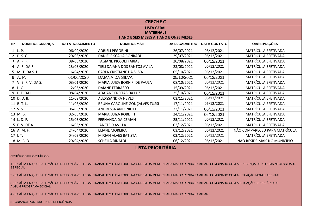|                |                        |                        | <b>CRECHE C</b>                         |                      |                     |                               |
|----------------|------------------------|------------------------|-----------------------------------------|----------------------|---------------------|-------------------------------|
|                |                        |                        | <b>LISTA GERAL</b>                      |                      |                     |                               |
|                |                        |                        | <b>MATERNAL I</b>                       |                      |                     |                               |
|                |                        |                        | 1 ANO E SEIS MESES A 1 ANO E ONZE MESES |                      |                     |                               |
| N <sub>0</sub> | <b>NOME DA CRIANÇA</b> | <b>DATA NASCIMENTO</b> | <b>NOME DA MÃE</b>                      | <b>DATA CADASTRO</b> | <b>DATA CONTATO</b> | <b>OBSERVAÇÕES</b>            |
|                | $1 \;  L. P.$          | 06/02/2020             | <b>ADRIELI PEGORINI</b>                 | 26/07/2021           | 06/12/2021          | MATRÍCULA EFETIVADA           |
| $\overline{2}$ | P. S. C.               | 29/03/2020             | DANIELE SCALIA CONRADI                  | 29/07/2021           | 06/12/2021          | MATRÍCULA EFETIVADA           |
|                | 3 A. P. F.             | 08/05/2020             | <b>TAGIANE PICCOLI FARIAS</b>           | 20/08/2021           | 06/12/2021          | MATRÍCULA EFETIVADA           |
|                | 4 A.R.DAR.             | 23/03/2020             | TIELI DAIANA DOS SANTOS AVILA           | 23/08/2021           | 06/12/2021          | MATRÍCULA EFETIVADA           |
|                | 5 M. T. DA S. H.       | 16/04/2020             | CARLA CRISTIANE DA SILVA                | 05/10/2021           | 06/12/2021          | MATRÍCULA EFETIVADA           |
|                | 6 A.P.                 | 01/06/2020             | DAIANA DA SILVA                         | 05/10/2021           | 06/12/2021          | MATRÍCULA EFETIVADA           |
|                | 7 V. B. F. V. DA S.    | 03/01/2020             | MARIA LUIZA BORN F. DE PAULA            | 08/10/2021           | 06/12/2021          | MATRÍCULA EFETIVADA           |
|                | 8 $\vert$ L. G.        | 12/05/2020             | DAIANE FERRASSO                         | 15/09/2021           | 06/12/2021          | MATRÍCULA EFETIVADA           |
|                | $9$ L. F. DA L.        | 08/04/2020             | <b>ADAIANE FREITAS DA LUZ</b>           | 25/10/2021           | 06/12/2021          | MATRÍCULA EFETIVADA           |
|                | 10 D.D.B.              | 11/02/2020             | <b>ALEXSSANDRA NEVES</b>                | 03/11/2021           | 06/12/2021          | MATRÍCULA EFETIVADA           |
|                | 11 B.T.L.              | 11/03/2020             | BRUNA CAROLINE GONÇALVES TUSSI          | 17/11/2021           | 06/12/2021          | MATRÍCULA EFETIVADA           |
|                | 12 S.S.                | 06/05/2020             | <b>ANDRESSA ANTONIUTTI</b>              | 23/11/2021           | 06/12/2021          | MATRÍCULA EFETIVADA           |
|                | 13 M.B.                | 02/06/2020             | <b>MARIA LUIZA ROBETTI</b>              | 24/11/2021           | 06/12/2021          | MATRÍCULA EFETIVADA           |
|                | 14 L.D.F.              | 25/03/2020             | <b>FERNANDA DAICZMAN</b>                | 25/11/2021           | 06/12/2021          | MATRÍCULA EFETIVADA           |
|                | 15 E.V. DE A.          | 16/06/2020             | JANETE D AVILLA                         | 02/12/2021           | 06/12/2021          | MATRÍCULA EFETIVADA           |
|                | 16 A. M. F.            | 24/04/2020             | <b>ELIANE MOREIRA</b>                   | 03/12/2021           | 06/12/2021          | NÃO COMPARECEU PARA MATRÍCULA |
| 17             | l. T.                  | 04/03/2020             | MIRIAN ALVES BATISTA                    | 03/12/2021           | 06/12/2021          | MATRÍCULA EFETIVADA           |
|                | 18 M.C.D.              | 29/04/2020             | <b>SCHEILA RINALDI</b>                  | 06/12/2021           | 06/12/2021          | NÃO RESIDE MAIS NO MUNICÍPIO  |

### **CRITÉRIOS PRIORITÁRIOS**

1 - FAMÍLIA EM QUE PAI E MÃE OU RESPONSÁVEL LEGAL TRABALHEM O DIA TODO, NA ORDEM DA MENOR PARA MAIOR RENDA FAMILIAR, COMBINADO COM A PRESENÇA DE ALGUMA NECESSIDADE **ESPECIAL** 

2 - FAMÍLIA EM QUE PAI E MÃE OU RESPONSÁVEL LEGAL TRABALHEM O DIA TODO, NA ORDEM DA MENOR PARA MAIOR RENDA FAMILIAR, COMBINADO COM A SITUAÇÃO MONOPARENTAL

3 - FAMÍLIA EM QUE PAI E MÃE OU RESPONSÁVEL LEGAL TRABALHEM O DIA TODO, NA ORDEM DA MENOR PARA MAIOR RENDA FAMILIAR, COMBINADO COM A SITUAÇÃO DE USUÁRIO DE ALGUM PROGRAMA SOCIAL

4 - FAMÍLIA EM QUE PAI E MÃE OU RESPONSÁVEL LEGAL TRABALHEM O DIA TODO, NA ORDEM DA MENOR PARA MAIOR RENDA FAMILIAR

5 - CRIANÇA PORTADORA DE DEFICIÊNCIA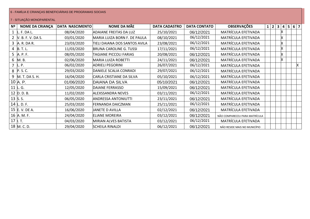## 6 - FAMÍLIA E CRIANÇAS BENEFICIÁRIAS DE PROGRAMAS SOCIAIS

| Nº | <b>NOME DA CRIANÇA</b>   | <b>DATA NASCIMENTO</b> | <b>NOME DA MÃE</b>              | <b>DATA CADASTRO</b> | <b>DATA CONTATO</b> | <b>OBSERVAÇÕES</b>            | $1 \mid 2 \mid 3$ |   | $\overline{\mathbf{4}}$ | 5 <sup>1</sup> | $6 \mid 7$ |
|----|--------------------------|------------------------|---------------------------------|----------------------|---------------------|-------------------------------|-------------------|---|-------------------------|----------------|------------|
|    | $1$ L. F. DA L.          | 08/04/2020             | <b>ADAIANE FREITAS DA LUZ</b>   | 25/10/2021           | 06/12/2021          | MATRÍCULA EFETIVADA           |                   |   |                         |                |            |
|    | 2 V. B. F. V. DA S.      | 03/01/2020             | MARIA LUIZA BORN F. DE PAULA    | 08/10/2021           | 06/12/2021          | MATRÍCULA EFETIVADA           |                   | х |                         |                |            |
|    | 3 A. R. DA R.            | 23/03/2020             | TIELI DAIANA DOS SANTOS AVILA   | 23/08/2021           | 06/12/2021          | MATRÍCULA EFETIVADA           |                   |   |                         |                |            |
|    | 4 $\vert B. T. L. \vert$ | 11/03/2020             | <b>BRUNA CAROLINE G. TUSSI</b>  | 17/11/2021           | 06/12/2021          | MATRÍCULA EFETIVADA           |                   |   |                         |                |            |
|    | 5 A. P. F.               | 08/05/2020             | <b>TAGIANE PICCOLI FARIAS</b>   | 20/08/2021           | 06/12/2021          | MATRÍCULA EFETIVADA           |                   |   |                         |                |            |
|    | 6 M.B.                   | 02/06/2020             | <b>MARIA LUIZA ROBETTI</b>      | 24/11/2021           | 06/12/2021          | MATRÍCULA EFETIVADA           |                   |   |                         |                |            |
|    | L. P.                    | 06/02/2020             | <b>ADRIELI PEGORINI</b>         | 26/07/2021           | 06/12/2021          | MATRÍCULA EFETIVADA           |                   |   |                         |                |            |
|    | 8 P.S.C.                 | 29/03/2020             | DANIELE SCALIA CONRADI          | 29/07/2021           | 06/12/2021          | MATRÍCULA EFETIVADA           |                   |   |                         |                |            |
|    | 9 M. T. DA S. H.         | 16/04/2020             | <b>CARLA CRISTIANE DA SILVA</b> | 05/10/2021           | 06/12/2021          | MATRÍCULA EFETIVADA           |                   |   |                         |                |            |
|    | 10 A. P.                 | 01/06/2020             | DAIANA DA SILVA                 | 05/10/2021           | 06/12/2021          | MATRÍCULA EFETIVADA           |                   |   |                         |                |            |
|    | 11 L.G.                  | 12/05/2020             | DAIANE FERRASSO                 | 15/09/2021           | 06/12/2021          | MATRÍCULA EFETIVADA           |                   |   |                         |                |            |
|    | 12 $D. D. B.$            | 11/02/2020             | <b>ALEXSSANDRA NEVES</b>        | 03/11/2021           | 06/12/2021          | MATRÍCULA EFETIVADA           |                   |   |                         |                |            |
|    | 13 $\,$ S. S.            | 06/05/2020             | <b>ANDRESSA ANTONIUTTI</b>      | 23/11/2021           | 06/12/2021          | MATRÍCULA EFETIVADA           |                   |   |                         |                |            |
|    | 14 L. D. F.              | 25/03/2020             | FERNANDA DAICZMAN               | 25/11/2021           | 06/12/2021          | MATRÍCULA EFETIVADA           |                   |   |                         |                |            |
|    | 15 E.V. DE A.            | 16/06/2020             | JANETE D AVILLA                 | 02/12/2021           | 06/12/2021          | MATRÍCULA EFETIVADA           |                   |   |                         |                |            |
|    | 16 A. M. F.              | 24/04/2020             | <b>ELIANE MOREIRA</b>           | 03/12/2021           | 06/12/2021          | NÃO COMPARECEU PARA MATRÍCULA |                   |   |                         |                |            |
|    | $17$   T.                | 04/03/2020             | <b>MIRIAN ALVES BATISTA</b>     | 03/12/2021           | 06/12/2021          | MATRÍCULA EFETIVADA           |                   |   |                         |                |            |
|    | 18 M.C.D.                | 29/04/2020             | <b>SCHEILA RINALDI</b>          | 06/12/2021           | 06/12/2021          | NÃO RESIDE MAIS NO MUNICÍPIO  |                   |   |                         |                |            |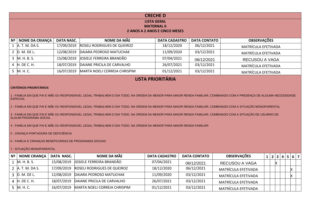| <b>CRECHED</b>                                                                                                                                                                         |                                                                                                                                                   |            |                              |                                          |            |                     |  |  |  |  |  |  |
|----------------------------------------------------------------------------------------------------------------------------------------------------------------------------------------|---------------------------------------------------------------------------------------------------------------------------------------------------|------------|------------------------------|------------------------------------------|------------|---------------------|--|--|--|--|--|--|
|                                                                                                                                                                                        |                                                                                                                                                   |            |                              | <b>LISTA GERAL</b><br><b>MATERNAL II</b> |            |                     |  |  |  |  |  |  |
|                                                                                                                                                                                        | <b>2 ANOS A 2 ANOS E CINCO MESES</b>                                                                                                              |            |                              |                                          |            |                     |  |  |  |  |  |  |
|                                                                                                                                                                                        | NOME DA MÃE<br><b>OBSERVAÇÕES</b><br><b>NOME DA CRIANÇA</b><br><b>DATA NASC.</b><br>N <sup>o</sup><br><b>DATA CADASTRO</b><br><b>DATA CONTATO</b> |            |                              |                                          |            |                     |  |  |  |  |  |  |
|                                                                                                                                                                                        | 1 A. T. M. DA S.<br>17/09/2019<br><b>ROSELI RODRIGUES DE QUEIROZ</b><br>18/12/2020<br>06/12/2021<br><b>MATRÍCULA EFETIVADA</b>                    |            |                              |                                          |            |                     |  |  |  |  |  |  |
|                                                                                                                                                                                        | 2 D. M. DE L.<br>12/08/2019<br>DAIARA PEDROSO MATUCHAK<br>11/09/2020<br>03/12/2021<br>MATRÍCULA EFETIVADA                                         |            |                              |                                          |            |                     |  |  |  |  |  |  |
|                                                                                                                                                                                        | 3 M. H. B. S.<br>JOSIELE FERREIRA BRANDÃO<br>15/08/2019<br>07/04/2021<br>06/12/2021<br><b>RECUSOU A VAGA</b>                                      |            |                              |                                          |            |                     |  |  |  |  |  |  |
|                                                                                                                                                                                        | 4 H. DE C. H.                                                                                                                                     | 18/07/2019 | DAIANE PRICILA DE CARVALHO   | 26/07/2021                               | 03/12/2021 | MATRÍCULA EFETIVADA |  |  |  |  |  |  |
|                                                                                                                                                                                        | 5 M. H. C.                                                                                                                                        | 16/07/2019 | MARTA NOELI CORREIA CHRISPIM | 01/12/2021                               | 03/12/2021 | MATRÍCULA EFETIVADA |  |  |  |  |  |  |
|                                                                                                                                                                                        |                                                                                                                                                   |            |                              | <b>LISTA PRIORITÁRIA</b>                 |            |                     |  |  |  |  |  |  |
|                                                                                                                                                                                        | <b>CRITÉRIOS PRIORITÁRIOS</b>                                                                                                                     |            |                              |                                          |            |                     |  |  |  |  |  |  |
| 1 - FAMÍLIA EM QUE PAI E MÃE OU RESPONSÁVEL LEGAL TRABALHEM O DIA TODO, NA ORDEM DA MENOR PARA MAIOR RENDA FAMILIAR, COMBINADO COM A PRESENÇA DE ALGUMA NECESSIDADE<br><b>ESPECIAL</b> |                                                                                                                                                   |            |                              |                                          |            |                     |  |  |  |  |  |  |
| 2 - FAMÍLIA EM QUE PAI E MÃE OU RESPONSÁVEL LEGAL TRABALHEM O DIA TODO, NA ORDEM DA MENOR PARA MAIOR RENDA FAMILIAR, COMBINADO COM A SITUAÇÃO MONOPARENTAL                             |                                                                                                                                                   |            |                              |                                          |            |                     |  |  |  |  |  |  |
| 3 - FAMÍLIA EM QUE PAI E MÃE OU RESPONSÁVEL LEGAL TRABALHEM O DIA TODO, NA ORDEM DA MENOR PARA MAIOR RENDA FAMILIAR, COMBINADO COM A SITUAÇÃO DE USUÁRIO DE<br>ALGUM PROGRAMA SOCIAL   |                                                                                                                                                   |            |                              |                                          |            |                     |  |  |  |  |  |  |

4 - FAMÍLIA EM QUE PAI E MÃE OU RESPONSÁVEL LEGAL TRABALHEM O DIA TODO, NA ORDEM DA MENOR PARA MAIOR RENDA FAMILIAR

5 - CRIANÇA PORTADORA DE DEFICIÊNCIA

6 - FAMÍLIA E CRIANÇAS BENEFICIÁRIAS DE PROGRAMAS SOCIAIS

| Nº | <b>NOME CRIANÇA</b> | DATA NASC. | NOME DA MÃE                        | <b>DATA CADASTRO</b> | <b>DATA CONTATO</b> | <b>OBSERVAÇÕES</b>  |  | 1 2 3 4 |  | 5   6   7 |  |
|----|---------------------|------------|------------------------------------|----------------------|---------------------|---------------------|--|---------|--|-----------|--|
|    | $1$ M. H. B. S.     | 15/08/2019 | JOSIELE FERREIRA BRANDÃO           | 07/04/2021           | 06/12/2021          | RECUSOU A VAGA      |  |         |  |           |  |
|    | 2 A. T. M. DA S.    | 17/09/2019 | <b>ROSELI RODRIGUES DE QUEIROZ</b> | 18/12/2020           | 06/12/2021          | MATRÍCULA EFETIVADA |  |         |  |           |  |
|    | 3 D. M. DE L.       | 12/08/2019 | DAIARA PEDROSO MATUCHAK            | 11/09/2020           | 03/12/2021          | MATRÍCULA EFETIVADA |  |         |  |           |  |
|    | 4 H. DE C. H.       | 18/07/2019 | DAIANE PRICILA DE CARVALHO         | 26/07/2021           | 03/12/2021          | MATRÍCULA EFETIVADA |  |         |  |           |  |
|    | $5$ M. H. C.        | 16/07/2019 | MARTA NOELI CORREIA CHRISPIM       | 01/12/2021           | 03/12/2021          | MATRÍCULA EFETIVADA |  |         |  |           |  |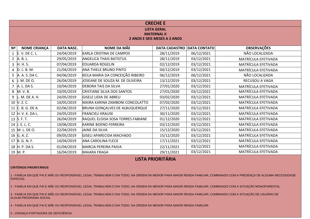|                |                                                                                                                                     |            |                                   | <b>CRECHE E</b>                                    |            |                            |  |  |  |  |  |
|----------------|-------------------------------------------------------------------------------------------------------------------------------------|------------|-----------------------------------|----------------------------------------------------|------------|----------------------------|--|--|--|--|--|
|                |                                                                                                                                     |            |                                   | <b>LISTA GERAL</b>                                 |            |                            |  |  |  |  |  |
|                |                                                                                                                                     |            |                                   | <b>MATERNAL II</b><br>2 ANOS E SEIS MESES A 3 ANOS |            |                            |  |  |  |  |  |
|                |                                                                                                                                     |            |                                   |                                                    |            |                            |  |  |  |  |  |
| Nº             | <b>OBSERVAÇÕES</b><br><b>NOME DA MÃE</b><br><b>NOME CRIANÇA</b><br><b>DATA NASC.</b><br><b>DATA CADASTRO</b><br><b>DATA CONTATO</b> |            |                                   |                                                    |            |                            |  |  |  |  |  |
|                | 1 E.V. DE C. L.                                                                                                                     | 24/04/2019 | KARLA CRISTINA DE CAMPOS          | 28/11/2019                                         | 06/12/2021 | NÃO LOCALIZADA             |  |  |  |  |  |
| $2^{\circ}$    | A. B. L.                                                                                                                            | 29/05/2019 | <b>ANGELICA THAIS BATISTUS</b>    | 28/11/2019                                         | 03/12/2021 | MATRÍCULA EFETIVADA        |  |  |  |  |  |
|                | $3$ H. H. S.                                                                                                                        | 07/04/2019 | <b>EDUARDA ROGELIN</b>            | 02/12/2019                                         | 03/12/2021 | MATRÍCULA EFETIVADA        |  |  |  |  |  |
| $\overline{4}$ | D. L. B. M.                                                                                                                         | 21/04/2019 | <b>ANA THIELE BRUNO PINTO</b>     | 04/12/2019                                         | 03/12/2021 | MATRÍCULA EFETIVADA        |  |  |  |  |  |
|                | 5 A. A. S. DA C.                                                                                                                    | 04/06/2019 | KEILA MARIA DA CONCEIÇÃO RIBEIRO  | 06/12/2019                                         | 06/12/2021 | NÃO LOCALIZADA             |  |  |  |  |  |
|                | 6 J. M. DE O.                                                                                                                       | 26/04/2019 | JOSEANE DE SOUZA M. DE OLIVEIRA   | 13/12/2019                                         | 03/12/2021 | RECUSOU A VAGA             |  |  |  |  |  |
|                | 7 A. L. DA S.                                                                                                                       | 10/04/2019 | <b>DEBORA TAIS DA SILVA</b>       | 27/01/2020                                         | 03/12/2021 | MATRÍCULA EFETIVADA        |  |  |  |  |  |
|                | 8 M.V.B.                                                                                                                            | 10/05/2019 | <b>CRISTIANE SILVA DOS SANTOS</b> | 27/01/2020                                         | 03/12/2021 | MATRÍCULA EFETIVADA        |  |  |  |  |  |
| 9              | L. M. DE A. H.                                                                                                                      | 24/05/2019 | <b>GISELE LIDIA DE ABREU</b>      | 03/02/2020                                         | 03/12/2021 | MATRÍCULA EFETIVADA        |  |  |  |  |  |
|                | 10 V.Z.C.                                                                                                                           | 10/05/2019 | MAIRA KARINA ZAMBONI CONCOLATTO   | 07/02/2020                                         | 03/12/2021 | MATRÍCULA EFETIVADA        |  |  |  |  |  |
|                | 11 C. B. G. DE A.                                                                                                                   | 02/06/2019 | BRUNA GONÇALVES DE ALBUQUERQUE    | 27/11/2020                                         | 03/12/2021 | MATRÍCULA EFETIVADA        |  |  |  |  |  |
|                | 12 H. V. K. DA L.                                                                                                                   | 24/05/2019 | <b>FRANCIELI KRAUSE</b>           | 30/11/2020                                         | 03/12/2021 | MATRÍCULA EFETIVADA        |  |  |  |  |  |
|                | 13 S.F.T.                                                                                                                           | 26/04/2019 | RAQUEL ELOISA SOSA TORRES FABIANE | 01/12/2020                                         | 03/12/2021 | <b>MATRÍCULA EFETIVADA</b> |  |  |  |  |  |
|                | 14 J. E. L. C.                                                                                                                      | 19/06/2019 | KARINE BOENO FERREIRA             | 03/12/2020                                         | 03/12/2021 | MATRÍCULA EFETIVADA        |  |  |  |  |  |
|                | 15 M. L. DE O.                                                                                                                      | 22/04/2019 | JAINE DA SILVA                    | 15/12/2020                                         | 03/12/2021 | <b>MATRÍCULA EFETIVADA</b> |  |  |  |  |  |
|                | 16 G.A.Z.                                                                                                                           | 09/05/2019 | <b>GISELI APARECIDA MACHADO</b>   | 15/12/2020                                         | 03/12/2021 | MATRÍCULA EFETIVADA        |  |  |  |  |  |
|                | 17 B. G. N. F.                                                                                                                      | 14/04/2019 | <b>ANA CAROLINA FLECK</b>         | 17/11/2021                                         | 03/12/2021 | <b>MATRÍCULA EFETIVADA</b> |  |  |  |  |  |
|                | 18 H. P. DA S.                                                                                                                      | 01/04/2019 | <b>MARCIA PEREIRA PAIVA</b>       | 22/11/2021                                         | 03/12/2021 | MATRÍCULA EFETIVADA        |  |  |  |  |  |
|                | 19 M.P.                                                                                                                             | 16/04/2019 | <b>MAIARA FRAGA</b>               | 29/11/2021                                         | 03/12/2021 | MATRÍCULA EFETIVADA        |  |  |  |  |  |

### **CRITÉRIOS PRIORITÁRIOS**

1 - FAMÍLIA EM QUE PAI E MÃE OU RESPONSÁVEL LEGAL TRABALHEM O DIA TODO, NA ORDEM DA MENOR PARA MAIOR RENDA FAMILIAR, COMBINADO COM A PRESENÇA DE ALGUMA NECESSIDADE **ESPECIAL** 

2 - FAMÍLIA EM QUE PAI E MÃE OU RESPONSÁVEL LEGAL TRABALHEM O DIA TODO, NA ORDEM DA MENOR PARA MAIOR RENDA FAMILIAR, COMBINADO COM A SITUAÇÃO MONOPARENTAL

3 - FAMÍLIA EM QUE PAI E MÃE OU RESPONSÁVEL LEGAL TRABALHEM O DIA TODO, NA ORDEM DA MENOR PARA MAIOR RENDA FAMILIAR, COMBINADO COM A SITUAÇÃO DE USUÁRIO DE ALGUM PROGRAMA SOCIAL

4 - FAMÍLIA EM QUE PAI E MÃE OU RESPONSÁVEL LEGAL TRABALHEM O DIA TODO, NA ORDEM DA MENOR PARA MAIOR RENDA FAMILIAR

5 - CRIANÇA PORTADORA DE DEFICIÊNCIA